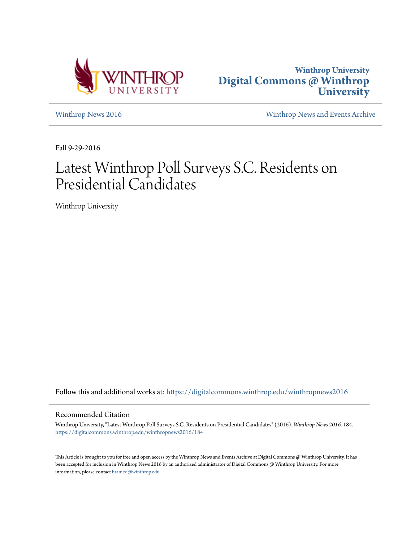



[Winthrop News 2016](https://digitalcommons.winthrop.edu/winthropnews2016?utm_source=digitalcommons.winthrop.edu%2Fwinthropnews2016%2F184&utm_medium=PDF&utm_campaign=PDFCoverPages) [Winthrop News and Events Archive](https://digitalcommons.winthrop.edu/winthropnewsarchives?utm_source=digitalcommons.winthrop.edu%2Fwinthropnews2016%2F184&utm_medium=PDF&utm_campaign=PDFCoverPages)

Fall 9-29-2016

# Latest Winthrop Poll Surveys S.C. Residents on Presidential Candidates

Winthrop University

Follow this and additional works at: [https://digitalcommons.winthrop.edu/winthropnews2016](https://digitalcommons.winthrop.edu/winthropnews2016?utm_source=digitalcommons.winthrop.edu%2Fwinthropnews2016%2F184&utm_medium=PDF&utm_campaign=PDFCoverPages)

### Recommended Citation

Winthrop University, "Latest Winthrop Poll Surveys S.C. Residents on Presidential Candidates" (2016). *Winthrop News 2016*. 184. [https://digitalcommons.winthrop.edu/winthropnews2016/184](https://digitalcommons.winthrop.edu/winthropnews2016/184?utm_source=digitalcommons.winthrop.edu%2Fwinthropnews2016%2F184&utm_medium=PDF&utm_campaign=PDFCoverPages)

This Article is brought to you for free and open access by the Winthrop News and Events Archive at Digital Commons @ Winthrop University. It has been accepted for inclusion in Winthrop News 2016 by an authorized administrator of Digital Commons @ Winthrop University. For more information, please contact [bramed@winthrop.edu](mailto:bramed@winthrop.edu).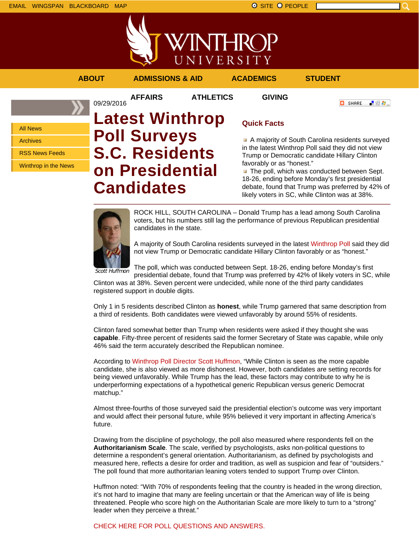

**AFFAIRS ATHLETICS GIVING**

09/29/2016

**ABOUT ADMISSIONS & AID ACADEMICS STUDENT**

**O** SHARE ■金々。

# All News

Archives

RSS News Feeds

Winthrop in the News

# **Latest Winthrop Poll Surveys S.C. Residents on Presidential Candidates**

# **Quick Facts**

A majority of South Carolina residents surveyed in the latest Winthrop Poll said they did not view Trump or Democratic candidate Hillary Clinton favorably or as "honest."

 $\blacksquare$  The poll, which was conducted between Sept. 18-26, ending before Monday's first presidential debate, found that Trump was preferred by 42% of likely voters in SC, while Clinton was at 38%.



ROCK HILL, SOUTH CAROLINA – Donald Trump has a lead among South Carolina voters, but his numbers still lag the performance of previous Republican presidential candidates in the state.

A majority of South Carolina residents surveyed in the latest Winthrop Poll said they did not view Trump or Democratic candidate Hillary Clinton favorably or as "honest."

The poll, which was conducted between Sept. 18-26, ending before Monday's first presidential debate, found that Trump was preferred by 42% of likely voters in SC, while

Clinton was at 38%. Seven percent were undecided, while none of the third party candidates registered support in double digits.

Only 1 in 5 residents described Clinton as **honest**, while Trump garnered that same description from a third of residents. Both candidates were viewed unfavorably by around 55% of residents.

Clinton fared somewhat better than Trump when residents were asked if they thought she was **capable**. Fifty-three percent of residents said the former Secretary of State was capable, while only 46% said the term accurately described the Republican nominee.

According to Winthrop Poll Director Scott Huffmon, "While Clinton is seen as the more capable candidate, she is also viewed as more dishonest. However, both candidates are setting records for being viewed unfavorably. While Trump has the lead, these factors may contribute to why he is underperforming expectations of a hypothetical generic Republican versus generic Democrat matchup."

Almost three-fourths of those surveyed said the presidential election's outcome was very important and would affect their personal future, while 95% believed it very important in affecting America's future.

Drawing from the discipline of psychology, the poll also measured where respondents fell on the **Authoritarianism Scale**. The scale, verified by psychologists, asks non-political questions to determine a respondent's general orientation. Authoritarianism, as defined by psychologists and measured here, reflects a desire for order and tradition, as well as suspicion and fear of "outsiders." The poll found that more authoritarian leaning voters tended to support Trump over Clinton.

Huffmon noted: "With 70% of respondents feeling that the country is headed in the wrong direction, it's not hard to imagine that many are feeling uncertain or that the American way of life is being threatened. People who score high on the Authoritarian Scale are more likely to turn to a "strong" leader when they perceive a threat."

CHECK HERE FOR POLL QUESTIONS AND ANSWERS.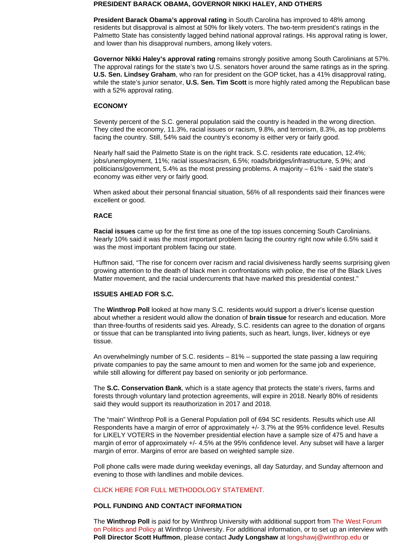#### **PRESIDENT BARACK OBAMA, GOVERNOR NIKKI HALEY, AND OTHERS**

**President Barack Obama's approval rating** in South Carolina has improved to 48% among residents but disapproval is almost at 50% for likely voters. The two-term president's ratings in the Palmetto State has consistently lagged behind national approval ratings. His approval rating is lower, and lower than his disapproval numbers, among likely voters.

**Governor Nikki Haley's approval rating** remains strongly positive among South Carolinians at 57%. The approval ratings for the state's two U.S. senators hover around the same ratings as in the spring. **U.S. Sen. Lindsey Graham**, who ran for president on the GOP ticket, has a 41% disapproval rating, while the state's junior senator, **U.S. Sen. Tim Scott** is more highly rated among the Republican base with a 52% approval rating.

### **ECONOMY**

Seventy percent of the S.C. general population said the country is headed in the wrong direction. They cited the economy, 11.3%, racial issues or racism, 9.8%, and terrorism, 8.3%, as top problems facing the country. Still, 54% said the country's economy is either very or fairly good.

Nearly half said the Palmetto State is on the right track. S.C. residents rate education, 12.4%; jobs/unemployment, 11%; racial issues/racism, 6.5%; roads/bridges/infrastructure, 5.9%; and politicians/government, 5.4% as the most pressing problems. A majority – 61% - said the state's economy was either very or fairly good.

When asked about their personal financial situation, 56% of all respondents said their finances were excellent or good.

### **RACE**

**Racial issues** came up for the first time as one of the top issues concerning South Carolinians. Nearly 10% said it was the most important problem facing the country right now while 6.5% said it was the most important problem facing our state.

Huffmon said, "The rise for concern over racism and racial divisiveness hardly seems surprising given growing attention to the death of black men in confrontations with police, the rise of the Black Lives Matter movement, and the racial undercurrents that have marked this presidential contest."

### **ISSUES AHEAD FOR S.C.**

The **Winthrop Poll** looked at how many S.C. residents would support a driver's license question about whether a resident would allow the donation of **brain tissue** for research and education. More than three-fourths of residents said yes. Already, S.C. residents can agree to the donation of organs or tissue that can be transplanted into living patients, such as heart, lungs, liver, kidneys or eye tissue.

An overwhelmingly number of S.C. residents – 81% – supported the state passing a law requiring private companies to pay the same amount to men and women for the same job and experience, while still allowing for different pay based on seniority or job performance.

The **S.C. Conservation Bank**, which is a state agency that protects the state's rivers, farms and forests through voluntary land protection agreements, will expire in 2018. Nearly 80% of residents said they would support its reauthorization in 2017 and 2018.

The "main" Winthrop Poll is a General Population poll of 694 SC residents. Results which use All Respondents have a margin of error of approximately +/- 3.7% at the 95% confidence level. Results for LIKELY VOTERS in the November presidential election have a sample size of 475 and have a margin of error of approximately +/- 4.5% at the 95% confidence level. Any subset will have a larger margin of error. Margins of error are based on weighted sample size.

Poll phone calls were made during weekday evenings, all day Saturday, and Sunday afternoon and evening to those with landlines and mobile devices.

# CLICK HERE FOR FULL METHODOLOGY STATEMENT.

# **POLL FUNDING AND CONTACT INFORMATION**

The **Winthrop Poll** is paid for by Winthrop University with additional support from The West Forum on Politics and Policy at Winthrop University. For additional information, or to set up an interview with **Poll Director Scott Huffmon**, please contact **Judy Longshaw** at longshawj@winthrop.edu or